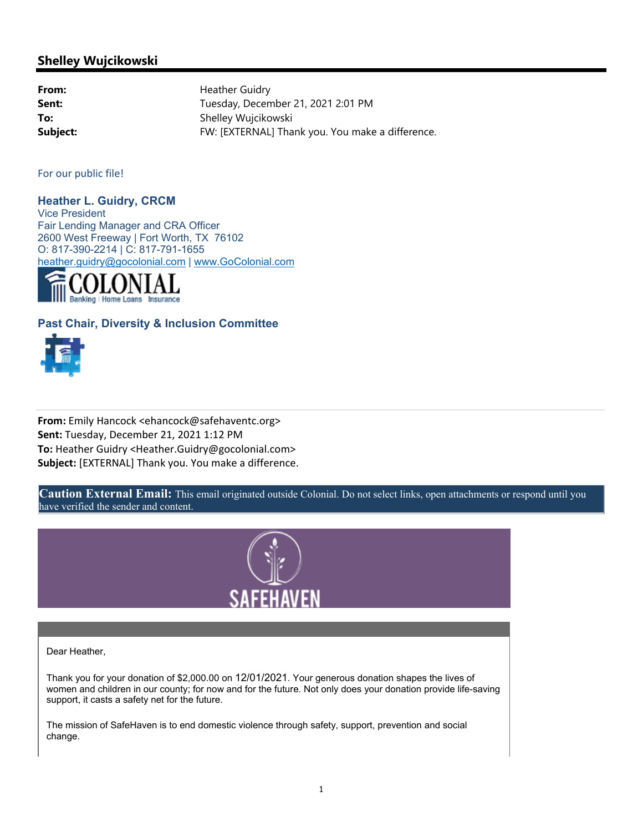## **Shelley Wujcikowski**

From: **From:** Heather Guidry Sent: Sent: Tuesday, December 21, 2021 2:01 PM **To:** Shelley Wujcikowski **Subject:** FW: [EXTERNAL] Thank you. You make a difference.

For our public file!

**Heather L. Guidry, CRCM**  Vice President Fair Lending Manager and CRA Officer 2600 West Freeway | Fort Worth, TX 76102 O: 817-390-2214 | C: 817-791-1655 heather.guidry@gocolonial.com | www.GoColonial.com



## **Past Chair, Diversity & Inclusion Committee**



**From:** Emily Hancock <ehancock@safehaventc.org> **Sent:** Tuesday, December 21, 2021 1:12 PM **To:** Heather Guidry <Heather.Guidry@gocolonial.com> **Subject:** [EXTERNAL] Thank you. You make a difference.

**Caution External Email:** This email originated outside Colonial. Do not select links, open attachments or respond until you have verified the sender and content.



Dear Heather,

Thank you for your donation of \$2,000.00 on 12/01/2021. Your generous donation shapes the lives of women and children in our county; for now and for the future. Not only does your donation provide life-saving support, it casts a safety net for the future.

The mission of SafeHaven is to end domestic violence through safety, support, prevention and social change.